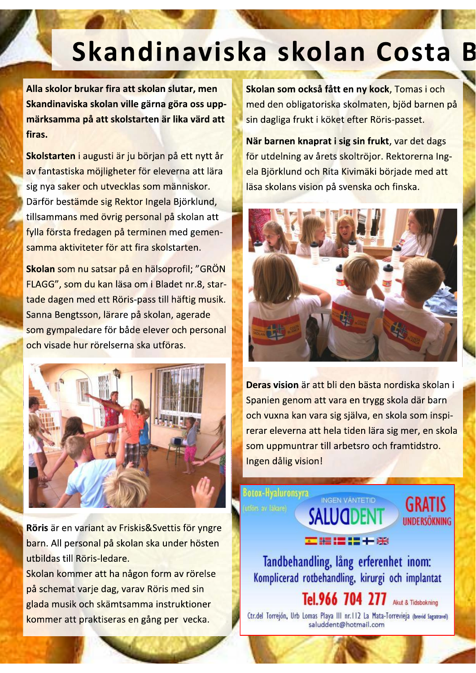## Skandinaviska skolan Costa B

×,

Alla skolor brukar fira att skolan slutar, men Skandinaviska skolan ville garna gora oss upp- <mark>i</mark> <mark>marksamma på att skolstarten är lika vard att li</mark> firas.

Alla skolor brukar fira att skolan slutar, men<br>
skandinaviska skolan ville gärna göra oss upp-<br>
märksamma på att skolstarten är lika värd att<br>
skolstarten i augusti är ju början på ett nytt år<br>
skolstarten i augusti är ju av fantastiska möjligheter för eleverna att lära sig nya saker och utvecklas som människor. Därför bestämde sig Rektor Ingela Björklund, tillsammans med övrig personal på skolan att fylla första fredagen på terminen med gemensamma aktiviteter för att fira skolstarten.

av fantastiska möjligheter för eleverna att lära<br>sig nya saker och utvecklas som människor.<br>Därför bestämde sig Rektor Ingela Björklund,<br>tillsammans med övrig personal på skolan att<br>fylla första fredagen på terminen med ge FLAGG", som du kan läsa om i Bladet nr.8, startade dagen med ett Röris-pass till häftig musik. Sanna Bengtsson, lärare på skolan, agerade som gympaledare för både elever och personal och visade hur rörelserna ska utföras.



Röris är en variant av Friskis&Svettis för yngre barn. All personal på skolan ska under hösten utbildas till Röris-ledare.

Skolan kommer att ha någon form av rörelse på schemat varje dag, varav Röris med sin glada musik och skämtsamma instruktioner kommer att praktiseras en gång per vecka.

Skolan som också fått en ny kock, Tomas i och med den obligatoriska skolmaten, bjöd barnen på sin dagliga frukt i köket efter Röris-passet.

När barnen knaprat i sig sin frukt, var det dags för utdelning av årets skoltröjor. Rektorerna Ingela Biörklund och Rita Kivimäki började med att läsa skolans vision på svenska och finska.



<mark>Deras vision</mark> är att bli den basta nordiska skolan i <sub>ti</sub> Spanien genom att vara en trygg skola där barn och vuxna kan vara sig själva, en skola som inspirerar eleverna att hela tiden lära sig mer, en skola som uppmuntrar till arbetsro och framtidstro. Ingen dålig vision!

INGEN VÄNTETID

**IINDERSÖKNING** 

SALUQDEI

Tandbehandling, lång erferenhet inom: Komplicerad rotbehandling, kirurgi och implantat

医器温温干器

Botox-Hyaluronsyra

Ctr.del Torrejón, Urb Lomas Playa III nr.112 La Mata-Torrevieja (brevid Sagatravel) saluddent@hotmail.com

Tel.966 704 277 Akut & Tidsbokning